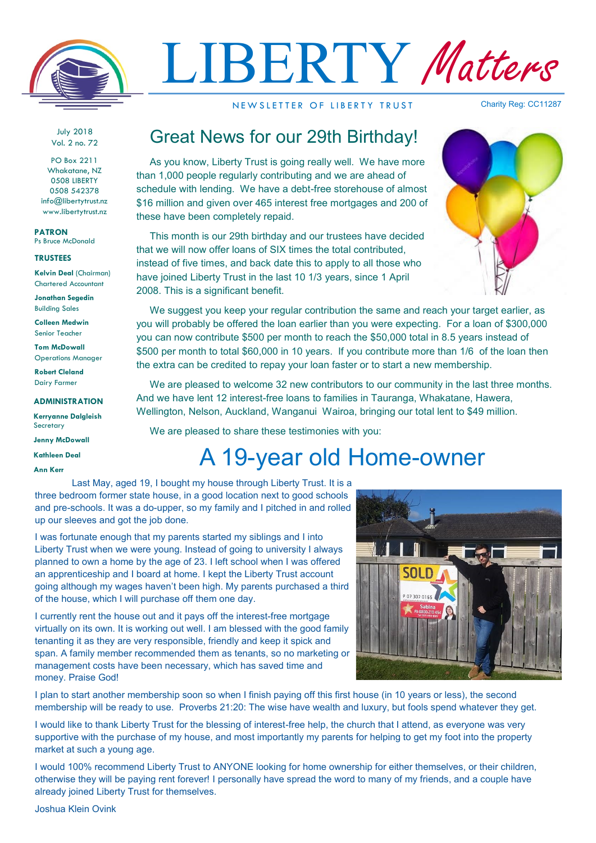

# LIBERTY Matters

NEW SLETTER OF LIBERTY TRUST

Charity Reg: CC11287

July 2018 Vol. 2 no. 72

PO Box 2211 Whakatane, NZ 0508 LIBERTY 0508 542378 info@libertytrust.nz www.libertytrust.nz

**PATRON** Ps Bruce McDonald

### **TRUSTEES**

**Kelvin Deal** (Chairman) Chartered Accountant

**Jonathan Segedin** Building Sales

**Colleen Medwin** Senior Teacher

**Tom McDowall** Operations Manager

**Robert Cleland** Dairy Farmer

#### **ADMINISTRATION**

**Kerryanne Dalgleish Secretary** 

**Jenny McDowall**

**Kathleen Deal**

**Ann Kerr**

## Great News for our 29th Birthday!

As you know, Liberty Trust is going really well. We have more than 1,000 people regularly contributing and we are ahead of schedule with lending. We have a debt-free storehouse of almost \$16 million and given over 465 interest free mortgages and 200 of these have been completely repaid.

This month is our 29th birthday and our trustees have decided that we will now offer loans of SIX times the total contributed, instead of five times, and back date this to apply to all those who have joined Liberty Trust in the last 10 1/3 years, since 1 April 2008. This is a significant benefit.



We suggest you keep your regular contribution the same and reach your target earlier, as you will probably be offered the loan earlier than you were expecting. For a loan of \$300,000 you can now contribute \$500 per month to reach the \$50,000 total in 8.5 years instead of \$500 per month to total \$60,000 in 10 years. If you contribute more than 1/6 of the loan then the extra can be credited to repay your loan faster or to start a new membership.

We are pleased to welcome 32 new contributors to our community in the last three months. And we have lent 12 interest-free loans to families in Tauranga, Whakatane, Hawera, Wellington, Nelson, Auckland, Wanganui Wairoa, bringing our total lent to \$49 million.

We are pleased to share these testimonies with you:

## A 19-year old Home-owner

 Last May, aged 19, I bought my house through Liberty Trust. It is a three bedroom former state house, in a good location next to good schools and pre-schools. It was a do-upper, so my family and I pitched in and rolled up our sleeves and got the job done.

I was fortunate enough that my parents started my siblings and I into Liberty Trust when we were young. Instead of going to university I always planned to own a home by the age of 23. I left school when I was offered an apprenticeship and I board at home. I kept the Liberty Trust account going although my wages haven't been high. My parents purchased a third of the house, which I will purchase off them one day.

I currently rent the house out and it pays off the interest-free mortgage virtually on its own. It is working out well. I am blessed with the good family tenanting it as they are very responsible, friendly and keep it spick and span. A family member recommended them as tenants, so no marketing or management costs have been necessary, which has saved time and money. Praise God!



I plan to start another membership soon so when I finish paying off this first house (in 10 years or less), the second membership will be ready to use. Proverbs 21:20: The wise have wealth and luxury, but fools spend whatever they get.

I would like to thank Liberty Trust for the blessing of interest-free help, the church that I attend, as everyone was very supportive with the purchase of my house, and most importantly my parents for helping to get my foot into the property market at such a young age.

I would 100% recommend Liberty Trust to ANYONE looking for home ownership for either themselves, or their children, otherwise they will be paying rent forever! I personally have spread the word to many of my friends, and a couple have already joined Liberty Trust for themselves.

Joshua Klein Ovink